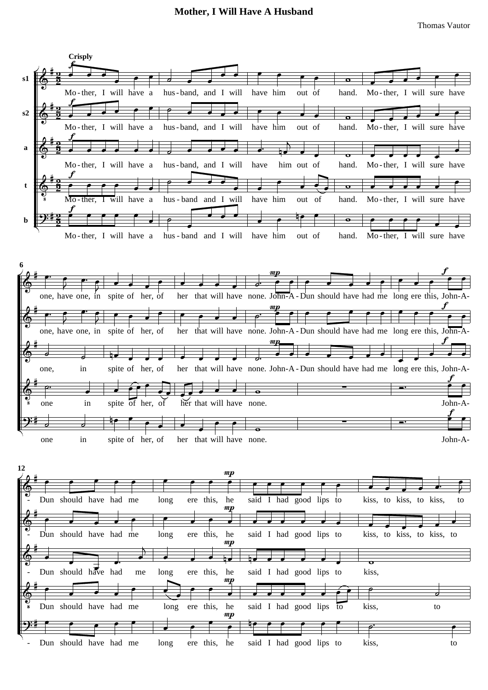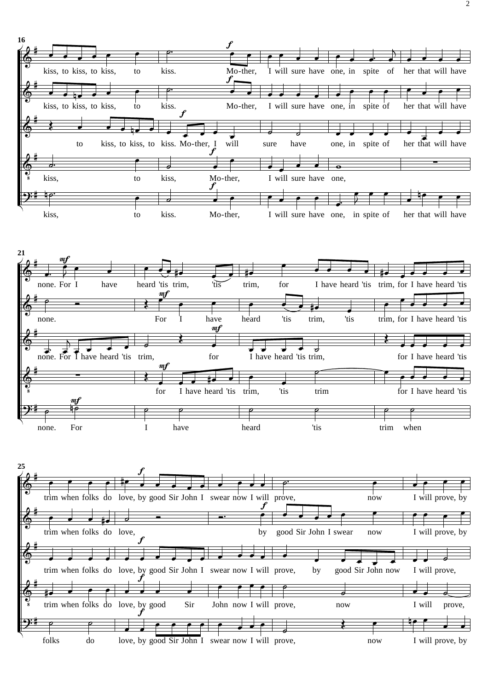

2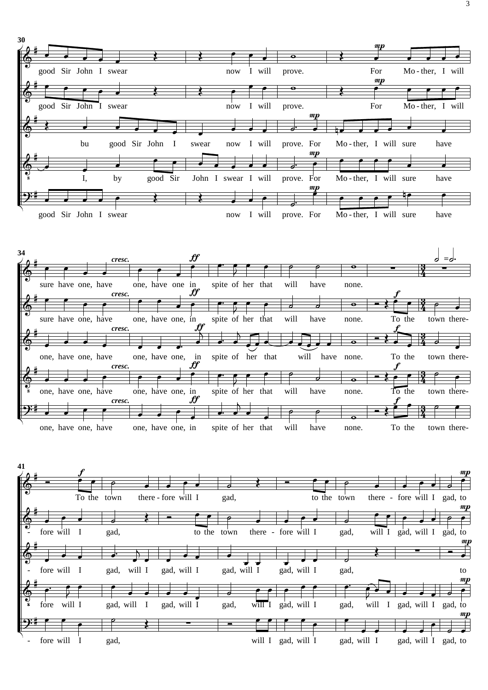

3